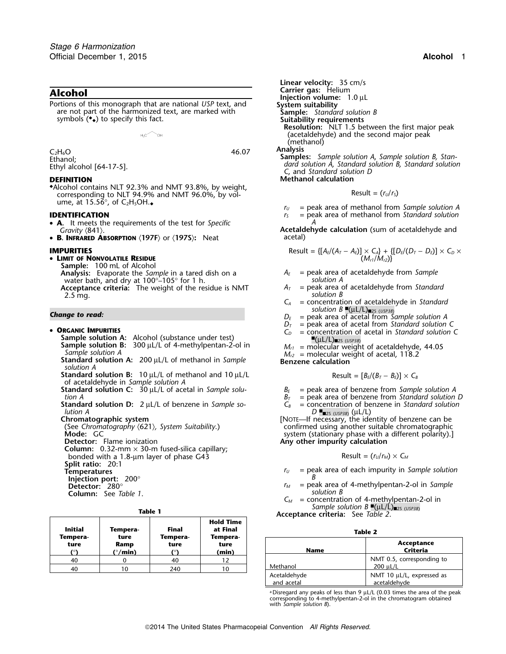**Alcohol**<br>**Portions of this monograph that are national USP text, and <b>Injection volume:** 1.0 µL<br>**Portions of this monograph that are national USP text, and System suitability** Portions of this monograph that are national *USP* text, and **System suitability** are not part of the harmonized text, are marked with **Sample:** *Standard solution B* symbols  $(•)$  to specify this fact.

 $\sim_{\mathsf{OH}}$ 

 $H_2C$ 

◆.Alcohol contains NLT 92.3% and NMT 93.8%, by weight, corresponding to NLT 94.9% and NMT 96.0%, by vol-<br>ume, at 15.56°, of C<sub>2</sub>H<sub>5</sub>OH.

- **<sup>A</sup>.** It meets the requirements of the test for *Specific <sup>A</sup>*
- **<sup>B</sup>. INFRARED ABSORPTION** 〈**197F**〉 or 〈**197S**〉**:** Neat acetal)

• **LIMIT OF NONVOLATILE RESIDUE** (*Mr1*/*Mr2*)} **Sample:** 100 mL of Alcohol **Analysis:** Evaporate the *Sample* in a tared dish on a *<sup>A</sup><sup>E</sup>* = peak area of acetaldehyde from *Sample* water bath, and dry at  $100^{\circ}$ –105° for 1 h.<br>**A** solution A solution A solution A<sub>*r*</sub> = peak area of acetaldehyde from Standard and and acetal area of acetaldehyde from Standard **Acceptance criteria:** The weight of the residue is NMT  $A_T$  = peak area of acts are action *B* 2.5 mg. *solution B*

## •

- **Sample solution A:** Alcohol (substance under test)<br>**Sample solution B:** 300 µL/L of 4-methylpentan-2-ol in  $M_{el}$  = molecular weigh **Sample solution B:** 300 µL/L of 4-methylpentan-2-ol in  $M_{r1}$  = molecular weight of acetaldehyde, 44.05 Sample solution A<br>Sample solution A: 200 µL/L of methanol in Sample Benzene calcular weight of acetal, 118.2
- *solution A*
- $Standard$  solution B: 10 µL/L of methanol and 10 µL/L of acetaldehyde in *Sample solution A*
- **Standard solution C:**  $30 \mu L/L$  of acetal in *Sample solu-*  $B_E$  = peak area of benzene from *Sample solution A*<br>*B<sub>T</sub>* = peak area of benzene from *Standard solution*

**Standard solution D:** 2 µL/L of benzene in *Sample solution A lution A D* ■. ■2S (*USP38*) (µL/L)

**Column:** 0.32-mm  $\times$  30-m fused-silica capillary; bonded with a 1.8-µm layer of phase G43 Result = (*<sup>r</sup>U*/*<sup>r</sup>M*) <sup>×</sup> *<sup>C</sup><sup>M</sup>* **Split ratio:** 20:1

- 
- 
- **Injection port:** 200° **B**<br> **Detector:** 280° *B*

| See Table 1. |  |
|--------------|--|
|              |  |

| <b>Initial</b>             | Tempera-                           | <b>Final</b>               | <b>Hold Time</b><br>at Final |               | Table 2                |
|----------------------------|------------------------------------|----------------------------|------------------------------|---------------|------------------------|
| Tempera-<br>ture<br>$\sim$ | ture<br>Ramp<br>( $^{\circ}/$ min) | Tempera-<br>ture<br>$\sim$ | Tempera-<br>ture<br>(min)    | <b>Name</b>   | Acceptance<br>Criteria |
| 40                         |                                    | 40                         | 12                           |               | NMT 0.5, correspondir  |
| 40                         | 10                                 | 240                        | 10                           | Methanol<br>. | 200 µL/L<br>.          |

**Linear velocity:** 35 cm/s<br>**Carrier gas:** Helium **Suitability requirements Resolution:** NLT 1.5 between the first major peak (acetaldehyde) and the second major peak (methanol)

 $C_2H_6O$ <br>  $C_2H_6O$ <br>
Ethanol;<br>
Ethyl alcohol [64-17-5].<br>
Ethyl alcohol [64-17-5].<br>
Ethyl alcohol [64-17-5].<br>
Ethyl alcohol [64-17-5].<br>
C, and Standard solution D **DEFINITION Methanol calculation** 

$$
Result = (r_U/r_S)
$$

 $r_U$  = peak area of methanol from *Sample solution A* **IDENTIFICATION** *r<sub>S</sub>* = peak area of methanol from *Standard solution* 

*Gravity*  $\langle 841 \rangle$ .<br>**B. INFRARED ABSORPTION**  $\langle 1975 \rangle$  or  $\langle 1975 \rangle$ : Neat **Acetal** acetal) **Acetal** 

**IMPUTIES**  
\n**RESW OF PROVOLATIVE RESIDUE**  
\n**EXAMPLES** 
$$
\{A_E/(A_T - A_E)\} \times C_A\} + \{[D_E/(D_T - D_E)] \times C_D \times (M_C/M_C)\}.
$$

- 
- 
- *C<sup>A</sup>* = concentration of acetaldehyde in *Standard*
- *Solution B* $\mathbb{E}(\mu L/L)_{\text{max}}$  **(***UL***)** $\mu_{2S}$  **(***USP38***)** *Solution A* $D_E =$  **peak area of acetal from** *Sample solution A* 
	- $D_T$  = peak area of acetal from *Standard solution* C
	- **ORGANIC IMPURITIES**  $C_D$  = concentration of acetal in *Standard solution* C
		-

$$
Result = [B_E/(B_T - B_E)] \times C_B
$$

- 
- 
- $B_T$  = peak area of benzene from *Standard solution D*  $C_8$  = concentration of benzene in *Standard solution*

**Chromatographic system** [NOTE—If necessary, the identity of benzene can be (See *Chromatography* 〈621〉*, System Suitability*.) confirmed using another suitable chromatographic **Mode:** GC system (stationary phase with a different polarity).]<br> **Detector:** Flame ionization **Example 2018 Any other impurity calculation** Any other impurity calculation

Result = 
$$
(r_U/r_M) \times C_M
$$

- $r_U$  = peak area of each impurity in *Sample solution*<br>B
- $=$  peak area of 4-methylpentan-2-ol in *Sample* **Column:** See *Table 1*. *solution B*
	- $C_M$  = concentration of 4-methylpentan-2-ol in<br>*Sample solution B*  $\mathbb{P}(\mu L/L)_{\text{max}}$  (*usp38*)

*Acceptance criteria: See <i>Table 2*.

| $\sim$<br>M<br>۰. |  |
|-------------------|--|
|-------------------|--|

| ıpera-<br>ure<br>(°) | ture<br>Ramp<br>( $^{\circ}/$ min) | Tempera-<br>ture | Tempera-<br>ture<br>(min) | <b>Name</b>                |          | Acceptance<br>Criteria                         |
|----------------------|------------------------------------|------------------|---------------------------|----------------------------|----------|------------------------------------------------|
| 40                   |                                    | 40               |                           |                            |          | NMT 0.5, corresponding to                      |
| 40                   | 10                                 | 240              | 10                        | Methanol                   | 200 µL/L |                                                |
|                      |                                    |                  |                           | Acetaldehyde<br>and acetal |          | NMT 10 $\mu$ L/L, expressed as<br>acetaldehvde |
|                      |                                    |                  |                           |                            |          |                                                |

 $^{\rm a}$ Disregard any peaks of less than 9  $\mu$ L/L (0.03 times the area of the peak corresponding to 4-methylpentan-2-ol in the chromatogram obtained with *Sample solution B*).